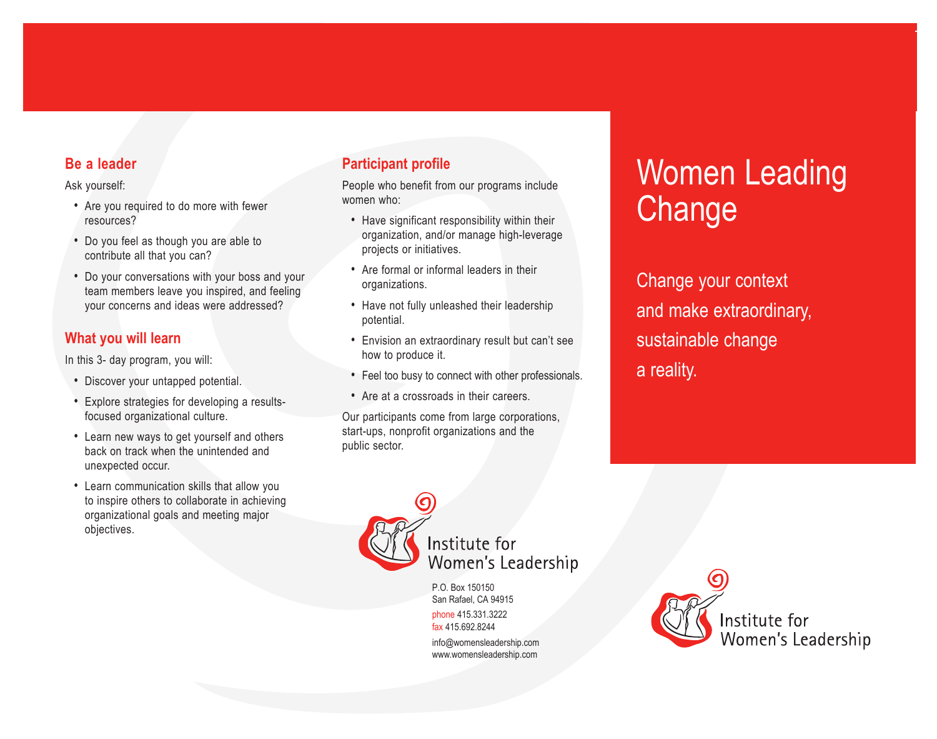### **Be a leader**

Ask yourself:

- Are you required to do more with fewer resources?
- Do you feel as though you are able to contribute all that you can?
- Do your conversations with your boss and your team members leave you inspired, and feeling your concerns and ideas were addressed?

### **What you will learn**

In this 3- day program, you will:

- Discover your untapped potential.
- Explore strategies for developing a resultsfocused organizational culture.
- Learn new ways to get yourself and others back on track when the unintended and unexpected occur.
- Learn communication skills that allow you to inspire others to collaborate in achieving organizational goals and meeting major objectives.

### **Participant profile**

People who benefit from our programs include women who:

- Have significant responsibility within their organization, and/or manage high-leverage projects or initiatives.
- Are formal or informal leaders in their organizations.
- Have not fully unleashed their leadership potential.
- Envision an extraordinary result but can't see how to produce it.
- Feel too busy to connect with other professionals.
- Are at a crossroads in their careers.

Our participants come from large corporations, start-ups, nonprofit organizations and the public sector.

# Women Leading **Change**

Change your context and make extraordinary, sustainable change a reality.



Women's Leadership

P.O. Box 150150 San Rafael, CA 94915 phone 415.331.3222 fax 415.692.8244

info@womensleadership.com www.womensleadership.com